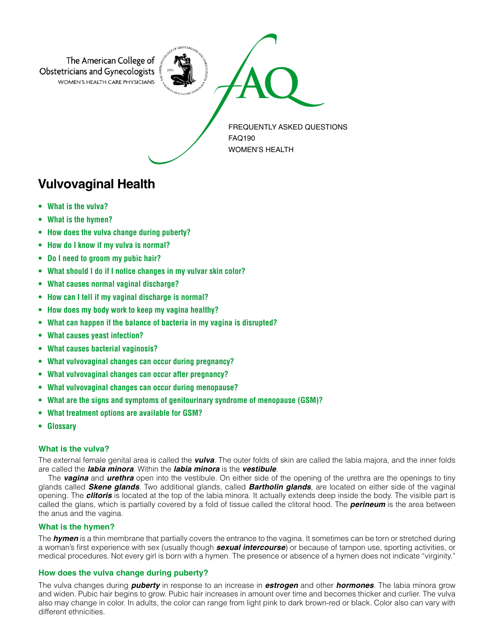

# **Vulvovaginal Health**

- **• What is the vulva?**
- **What is the hymen?**
- **How does the vulva change during puberty?**
- **How do I know if my vulva is normal?**
- **Do I need to groom my pubic hair?**
- **What should I do if I notice changes in my vulvar skin color?**
- **What causes normal vaginal discharge?**
- **How can I tell if my vaginal discharge is normal?**
- **How does my body work to keep my vagina healthy?**
- **What can happen if the balance of bacteria in my vagina is disrupted?**
- **What causes yeast infection?**
- **What causes bacterial vaginosis?**
- **What vulvovaginal changes can occur during pregnancy?**
- **What vulvovaginal changes can occur after pregnancy?**
- **What vulvovaginal changes can occur during menopause?**
- **What are the signs and symptoms of genitourinary syndrome of menopause (GSM)?**
- **What treatment options are available for GSM?**
- **Glossary**

# **What is the vulva?**

The external female genital area is called the *vulva*. The outer folds of skin are called the labia majora, and the inner folds are called the *labia minora*. Within the *labia minora* is the *vestibule*.

The *vagina* and *urethra* open into the vestibule. On either side of the opening of the urethra are the openings to tiny glands called *Skene glands*. Two additional glands, called *Bartholin glands*, are located on either side of the vaginal opening. The *clitoris* is located at the top of the labia minora. It actually extends deep inside the body. The visible part is called the glans, which is partially covered by a fold of tissue called the clitoral hood. The *perineum* is the area between the anus and the vagina.

# **What is the hymen?**

The *hymen* is a thin membrane that partially covers the entrance to the vagina. It sometimes can be torn or stretched during a woman's first experience with sex (usually though *sexual intercourse*) or because of tampon use, sporting activities, or medical procedures. Not every girl is born with a hymen. The presence or absence of a hymen does not indicate "virginity."

# **How does the vulva change during puberty?**

The vulva changes during *puberty* in response to an increase in *estrogen* and other *hormones*. The labia minora grow and widen. Pubic hair begins to grow. Pubic hair increases in amount over time and becomes thicker and curlier. The vulva also may change in color. In adults, the color can range from light pink to dark brown-red or black. Color also can vary with different ethnicities.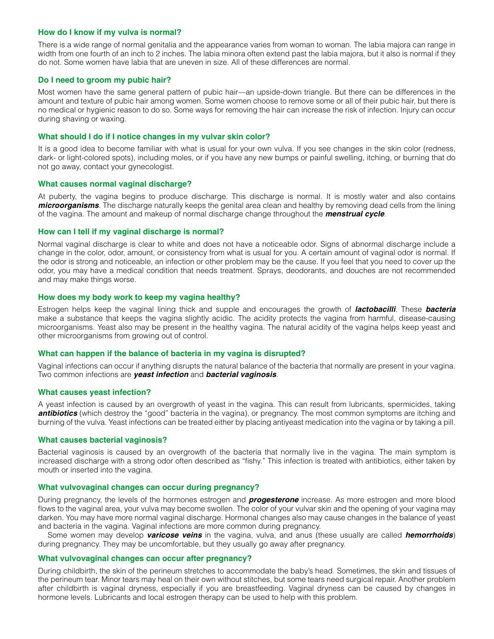#### **How do I know if my vulva is normal?**

There is a wide range of normal genitalia and the appearance varies from woman to woman. The labia majora can range in width from one fourth of an inch to 2 inches. The labia minora often extend past the labia majora, but it also is normal if they do not. Some women have labia that are uneven in size. All of these differences are normal.

## **Do I need to groom my pubic hair?**

Most women have the same general pattern of pubic hair—an upside-down triangle. But there can be differences in the amount and texture of pubic hair among women. Some women choose to remove some or all of their pubic hair, but there is no medical or hygienic reason to do so. Some ways for removing the hair can increase the risk of infection. Injury can occur during shaving or waxing.

#### **What should I do if I notice changes in my vulvar skin color?**

It is a good idea to become familiar with what is usual for your own vulva. If you see changes in the skin color (redness, dark- or light-colored spots), including moles, or if you have any new bumps or painful swelling, itching, or burning that do not go away, contact your gynecologist.

#### **What causes normal vaginal discharge?**

At puberty, the vagina begins to produce discharge. This discharge is normal. It is mostly water and also contains *microorganisms*. The discharge naturally keeps the genital area clean and healthy by removing dead cells from the lining of the vagina. The amount and makeup of normal discharge change throughout the *menstrual cycle*.

#### **How can I tell if my vaginal discharge is normal?**

Normal vaginal discharge is clear to white and does not have a noticeable odor. Signs of abnormal discharge include a change in the color, odor, amount, or consistency from what is usual for you. A certain amount of vaginal odor is normal. If the odor is strong and noticeable, an infection or other problem may be the cause. If you feel that you need to cover up the odor, you may have a medical condition that needs treatment. Sprays, deodorants, and douches are not recommended and may make things worse.

#### **How does my body work to keep my vagina healthy?**

Estrogen helps keep the vaginal lining thick and supple and encourages the growth of *lactobacilli*. These *bacteria* make a substance that keeps the vagina slightly acidic. The acidity protects the vagina from harmful, disease-causing microorganisms. Yeast also may be present in the healthy vagina. The natural acidity of the vagina helps keep yeast and other microorganisms from growing out of control.

#### **What can happen if the balance of bacteria in my vagina is disrupted?**

Vaginal infections can occur if anything disrupts the natural balance of the bacteria that normally are present in your vagina. Two common infections are *yeast infection* and *bacterial vaginosis*.

#### **What causes yeast infection?**

A yeast infection is caused by an overgrowth of yeast in the vagina. This can result from lubricants, spermicides, taking *antibiotics* (which destroy the "good" bacteria in the vagina), or pregnancy. The most common symptoms are itching and burning of the vulva. Yeast infections can be treated either by placing antiyeast medication into the vagina or by taking a pill.

#### **What causes bacterial vaginosis?**

Bacterial vaginosis is caused by an overgrowth of the bacteria that normally live in the vagina. The main symptom is increased discharge with a strong odor often described as "fishy." This infection is treated with antibiotics, either taken by mouth or inserted into the vagina.

#### **What vulvovaginal changes can occur during pregnancy?**

During pregnancy, the levels of the hormones estrogen and *progesterone* increase. As more estrogen and more blood flows to the vaginal area, your vulva may become swollen. The color of your vulvar skin and the opening of your vagina may darken. You may have more normal vaginal discharge. Hormonal changes also may cause changes in the balance of yeast and bacteria in the vagina. Vaginal infections are more common during pregnancy.

Some women may develop *varicose veins* in the vagina, vulva, and anus (these usually are called *hemorrhoids*) during pregnancy. They may be uncomfortable, but they usually go away after pregnancy.

### **What vulvovaginal changes can occur after pregnancy?**

During childbirth, the skin of the perineum stretches to accommodate the baby's head. Sometimes, the skin and tissues of the perineum tear. Minor tears may heal on their own without stitches, but some tears need surgical repair. Another problem after childbirth is vaginal dryness, especially if you are breastfeeding. Vaginal dryness can be caused by changes in hormone levels. Lubricants and local estrogen therapy can be used to help with this problem.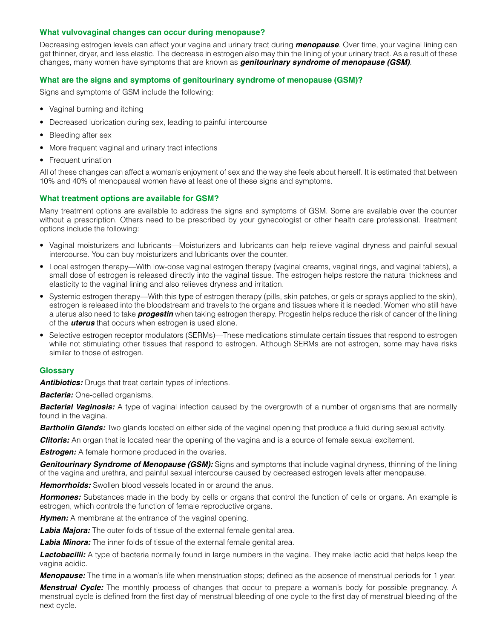# **What vulvovaginal changes can occur during menopause?**

Decreasing estrogen levels can affect your vagina and urinary tract during *menopause*. Over time, your vaginal lining can get thinner, dryer, and less elastic. The decrease in estrogen also may thin the lining of your urinary tract. As a result of these changes, many women have symptoms that are known as *genitourinary syndrome of menopause (GSM)*.

# **What are the signs and symptoms of genitourinary syndrome of menopause (GSM)?**

Signs and symptoms of GSM include the following:

- Vaginal burning and itching
- Decreased lubrication during sex, leading to painful intercourse
- Bleeding after sex
- More frequent vaginal and urinary tract infections
- Frequent urination

All of these changes can affect a woman's enjoyment of sex and the way she feels about herself. It is estimated that between 10% and 40% of menopausal women have at least one of these signs and symptoms.

# **What treatment options are available for GSM?**

Many treatment options are available to address the signs and symptoms of GSM. Some are available over the counter without a prescription. Others need to be prescribed by your gynecologist or other health care professional. Treatment options include the following:

- Vaginal moisturizers and lubricants—Moisturizers and lubricants can help relieve vaginal dryness and painful sexual intercourse. You can buy moisturizers and lubricants over the counter.
- Local estrogen therapy—With low-dose vaginal estrogen therapy (vaginal creams, vaginal rings, and vaginal tablets), a small dose of estrogen is released directly into the vaginal tissue. The estrogen helps restore the natural thickness and elasticity to the vaginal lining and also relieves dryness and irritation.
- Systemic estrogen therapy—With this type of estrogen therapy (pills, skin patches, or gels or sprays applied to the skin), estrogen is released into the bloodstream and travels to the organs and tissues where it is needed. Women who still have a uterus also need to take *progestin* when taking estrogen therapy. Progestin helps reduce the risk of cancer of the lining of the *uterus* that occurs when estrogen is used alone.
- Selective estrogen receptor modulators (SERMs)—These medications stimulate certain tissues that respond to estrogen while not stimulating other tissues that respond to estrogen. Although SERMs are not estrogen, some may have risks similar to those of estrogen.

# **Glossary**

**Antibiotics:** Drugs that treat certain types of infections.

*Bacteria:* One-celled organisms.

**Bacterial Vaginosis:** A type of vaginal infection caused by the overgrowth of a number of organisms that are normally found in the vagina.

**Bartholin Glands:** Two glands located on either side of the vaginal opening that produce a fluid during sexual activity.

**Clitoris:** An organ that is located near the opening of the vagina and is a source of female sexual excitement.

**Estrogen:** A female hormone produced in the ovaries.

*Genitourinary Syndrome of Menopause (GSM):* Signs and symptoms that include vaginal dryness, thinning of the lining of the vagina and urethra, and painful sexual intercourse caused by decreased estrogen levels after menopause.

*Hemorrhoids:* Swollen blood vessels located in or around the anus.

*Hormones:* Substances made in the body by cells or organs that control the function of cells or organs. An example is estrogen, which controls the function of female reproductive organs.

**Hymen:** A membrane at the entrance of the vaginal opening.

**Labia Majora:** The outer folds of tissue of the external female genital area.

**Labia Minora:** The inner folds of tissue of the external female genital area.

*Lactobacilli:* A type of bacteria normally found in large numbers in the vagina. They make lactic acid that helps keep the vagina acidic.

*Menopause:* The time in a woman's life when menstruation stops; defined as the absence of menstrual periods for 1 year.

*Menstrual Cycle:* The monthly process of changes that occur to prepare a woman's body for possible pregnancy. A menstrual cycle is defined from the first day of menstrual bleeding of one cycle to the first day of menstrual bleeding of the next cycle.